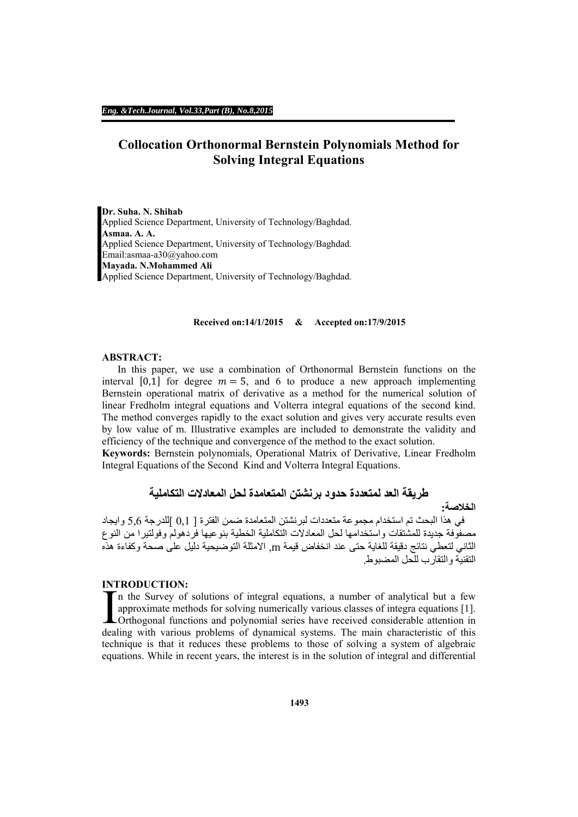# **Collocation Orthonormal Bernstein Polynomials Method for Solving Integral Equations**

**Dr. Suha. N. Shihab**  Applied Science Department, University of Technology/Baghdad. **Asmaa. A. A.**  Applied Science Department, University of Technology/Baghdad. Email:asmaa-a30@yahoo.com **Mayada. N.Mohammed Ali**  Applied Science Department, University of Technology/Baghdad.

#### **Received on:14/1/2015 & Accepted on:17/9/2015**

## **ABSTRACT:**

In this paper, we use a combination of Orthonormal Bernstein functions on the interval [0,1] for degree  $m = 5$ , and 6 to produce a new approach implementing Bernstein operational matrix of derivative as a method for the numerical solution of linear Fredholm integral equations and Volterra integral equations of the second kind. The method converges rapidly to the exact solution and gives very accurate results even by low value of m. Illustrative examples are included to demonstrate the validity and efficiency of the technique and convergence of the method to the exact solution.

**Keywords:** Bernstein polynomials, Operational Matrix of Derivative, Linear Fredholm Integral Equations of the Second Kind and Volterra Integral Equations.

**طريقة العد لمتعددة حدود برنشتن المتعامدة لحل المعادالت التكاملية**

**الخالصة:**

في ھذا البحث تم استخدام مجموعة متعددات لبرنشتن المتعامدة ضمن الفترة [ 0,1 ]للدرجة 5,6 وايجاد مصفوفة جديدة للمشتقات واستخدامھا لحل المعادالت التكاملية الخطية بنوعيھا فردھولم وفولتيرا من النوع الثاني لتعطي نتائج دقيقة للغاية حتى عند انخفاض قيمة m, االمثلة التوضيحية دليل على صحة وكفاءة ھذه التقنية والتقارب للحل المضبوط.

### **INTRODUCTION:**

n the Survey of solutions of integral equations, a number of analytical but a few approximate methods for solving numerically various classes of integra equations [1]. Orthogonal functions and polynomial series have received considerable attention in INTRODUCTION.<br>
In the Survey of solutions of integral equations, a number of analytical but a few<br>
approximate methods for solving numerically various classes of integra equations [1].<br>
Orthogonal functions and polynomial technique is that it reduces these problems to those of solving a system of algebraic equations. While in recent years, the interest is in the solution of integral and differential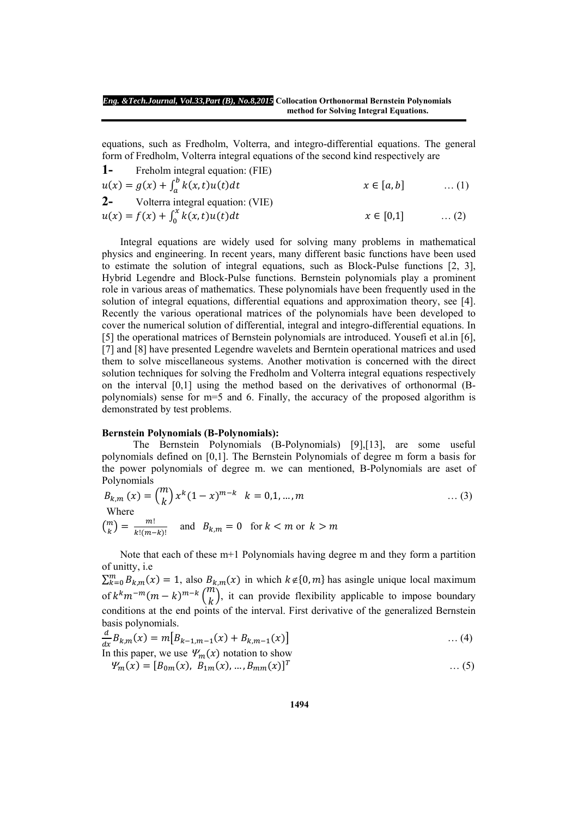equations, such as Fredholm, Volterra, and integro-differential equations. The general form of Fredholm, Volterra integral equations of the second kind respectively are **1-** Freholm integral equation: (FIE)

1- **From integral equation:** (FIE)  
\n
$$
u(x) = g(x) + \int_{a}^{b} k(x, t)u(t)dt
$$
\n
$$
u(x) = f(x) + \int_{0}^{x} k(x, t)u(t)dt
$$
\n
$$
x \in [0,1] \quad ... (1)
$$
\n
$$
x \in [0,1] \quad ... (2)
$$

 Integral equations are widely used for solving many problems in mathematical physics and engineering. In recent years, many different basic functions have been used to estimate the solution of integral equations, such as Block-Pulse functions [2, 3], Hybrid Legendre and Block-Pulse functions. Bernstein polynomials play a prominent role in various areas of mathematics. These polynomials have been frequently used in the solution of integral equations, differential equations and approximation theory, see [4]. Recently the various operational matrices of the polynomials have been developed to cover the numerical solution of differential, integral and integro-differential equations. In [5] the operational matrices of Bernstein polynomials are introduced. Yousefi et al.in [6], [7] and [8] have presented Legendre wavelets and Berntein operational matrices and used them to solve miscellaneous systems. Another motivation is concerned with the direct solution techniques for solving the Fredholm and Volterra integral equations respectively on the interval [0,1] using the method based on the derivatives of orthonormal (Bpolynomials) sense for m=5 and 6. Finally, the accuracy of the proposed algorithm is demonstrated by test problems.

#### **Bernstein Polynomials (B-Polynomials):**

 The Bernstein Polynomials (B-Polynomials) [9],[13], are some useful polynomials defined on [0,1]. The Bernstein Polynomials of degree m form a basis for the power polynomials of degree m. we can mentioned, B-Polynomials are aset of Polynomials

$$
B_{k,m}(x) = {m \choose k} x^{k} (1-x)^{m-k} \quad k = 0,1,...,m
$$
  
Where  

$$
{m \choose k} = \frac{m!}{k!(m-k)!}
$$
 and  $B_{k,m} = 0$  for  $k < m$  or  $k > m$ 

 Note that each of these m+1 Polynomials having degree m and they form a partition of unitty, i.e

 $\sum_{k=0}^{m} B_{k,m}(x) = 1$ , also  $B_{k,m}(x)$  in which  $k \notin \{0, m\}$  has asingle unique local maximum of  $k^k m^{-m} (m-k)^{m-k} {m \choose k}$ , it can provide flexibility applicable to impose boundary conditions at the end points of the interval. First derivative of the generalized Bernstein basis polynomials.

$$
\frac{d}{dx}B_{k,m}(x) = m[B_{k-1,m-1}(x) + B_{k,m-1}(x)] \tag{4}
$$

In this paper, we use 
$$
\mathcal{Y}_m(x)
$$
 notation to show  
\n
$$
\mathcal{Y}_m(x) = [B_{0m}(x), B_{1m}(x), ..., B_{mm}(x)]^T
$$
\n...(5)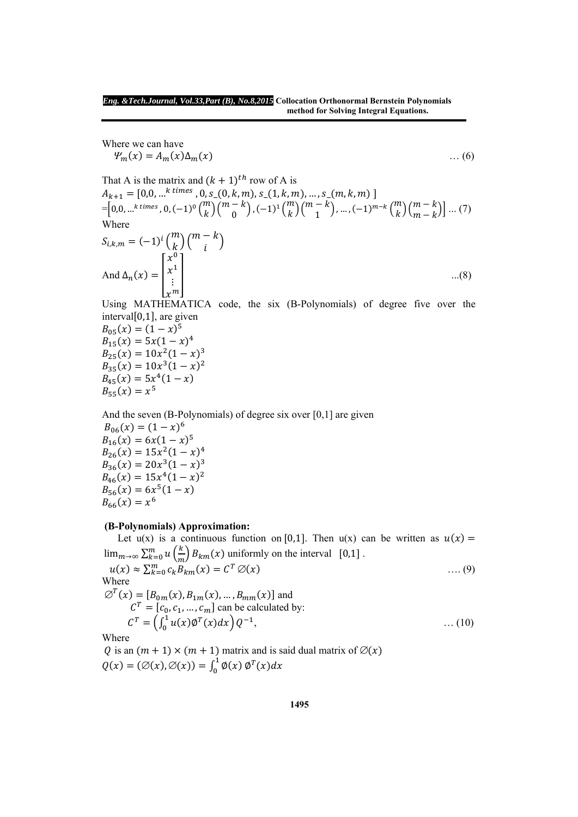Where we can have  $\Psi_m(x) = A_m(x) \Delta_m(x)$  … (6)

That A is the matrix and  $(k + 1)$ <sup>th</sup> row of A is  $A_{k+1} = [0,0, ...^{k \text{ times}}, 0, s_{0}(0, k, m), s_{0}(1, k, m), ..., s_{0}(m, k, m)]$  $=\left[0,0,...^k \text{ times }, 0, (-1)^0 {m \choose k} {m-k \choose 0}, (-1)^1 {m \choose k} {m-k \choose 1},..., (-1)^{m-k} {m \choose k} {m-k \choose m-k} \right] ...$  (7) Where

$$
S_{i,k,m} = (-1)^i \binom{m}{k} \binom{m-k}{i}
$$
  
And  $\Delta_n(x) = \begin{bmatrix} x^0 \\ x^1 \\ \vdots \\ x^m \end{bmatrix}$ ...(8)

Using MATHEMATICA code, the six (B-Polynomials) of degree five over the  $interval[0,1]$ , are given

 $B_{0.5}(x) = (1-x)^5$  $B_{15}(x) = 5x(1-x)^4$  $B_{25}(x) = 10x^2(1-x)^3$  $B_{35}(x) = 10x^3(1-x)^2$  $B_{45}(x) = 5x^4(1-x)$  $B_{55}(x) = x^5$ 

And the seven (B-Polynomials) of degree six over [0,1] are given  $B_{0.6}(x) = (1-x)^6$  $B_{16}(x) = 6x(1-x)^5$  $B_{26}(x) = 15x^2(1-x)^4$  $B_{36}(x) = 20x^3(1-x)^3$  $B_{46}(x) = 15x^4(1 - x)^2$  $B_{56}(x) = 6x^5(1-x)$  $B_{66}(x) = x^6$ 

# **(B-Polynomials) Approximation:**

Let  $u(x)$  is a continuous function on [0,1]. Then  $u(x)$  can be written as  $u(x) =$  $\lim_{m\to\infty}\sum_{k=0}^{m}u\left(\frac{k}{m}\right)B_{km}(x)$  uniformly on the interval  $[0,1]$ .  $u(x) \approx \sum_{k=0}^{m} c_k B_{km}(x) = C^T \varnothing(x)$  (9) Where  $\varnothing^{T}(x) = [B_{0m}(x), B_{1m}(x), \ldots, B_{mm}(x)]$  and  $CF = [c_0, c_1, ..., c_m]$  can be calculated by:  $C^T = \left(\int_0^1 u(x) \phi^T(x) dx\right) Q^{-1},$  ... (10)

Where

Q is an  $(m + 1) \times (m + 1)$  matrix and is said dual matrix of  $\varnothing(x)$  $Q(x) = (\emptyset(x), \emptyset(x)) = \int_0^1 \phi(x) \, \phi^T(x) dx$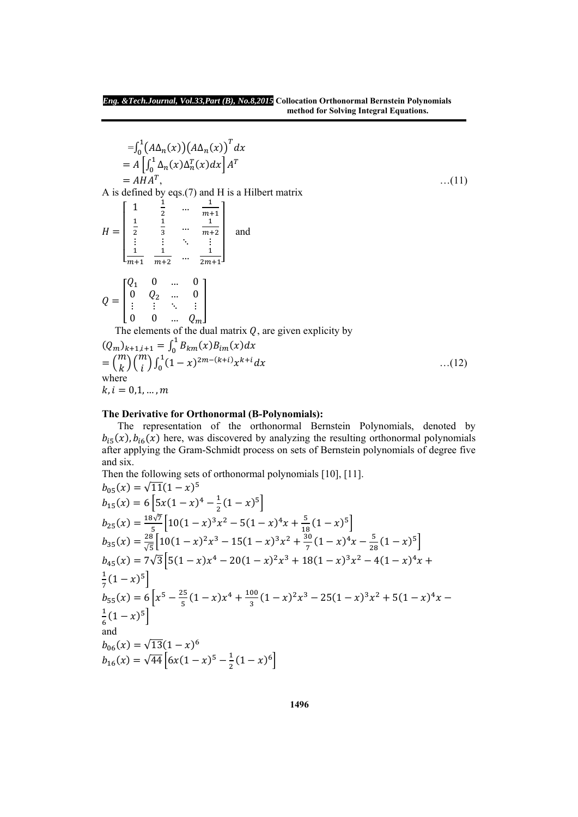$$
= \int_0^1 (A\Delta_n(x)) (A\Delta_n(x))^T dx
$$
  
\n
$$
= A \left[ \int_0^1 \Delta_n(x) \Delta_n^T(x) dx \right] A^T
$$
  
\n
$$
= A H A^T,
$$
...(11)  
\n
$$
H = \begin{bmatrix} 1 & \frac{1}{2} & \cdots & \frac{1}{m+1} \\ \frac{1}{2} & \frac{1}{3} & \cdots & \frac{1}{m+2} \\ \vdots & \vdots & \ddots & \vdots \\ \frac{1}{m+1} & \frac{1}{m+2} & \cdots & \frac{1}{2m+1} \end{bmatrix}
$$
 and  
\n
$$
Q = \begin{bmatrix} Q_1 & 0 & \cdots & 0 \\ 0 & Q_2 & \cdots & 0 \\ \vdots & \vdots & \ddots & \vdots \\ 0 & 0 & \cdots & Q_m \end{bmatrix}
$$
  
\nThe elements of the dual matrix Q, are given explicitly by  
\n
$$
(Q_m)_{k+1,i+1} = \int_0^1 B_{km}(x) B_{lm}(x) dx
$$
  
\n
$$
= {m \choose k} {m \choose i} \int_0^1 (1-x)^{2m-(k+i)} x^{k+i} dx
$$
...(12)  
\nwhere  
\n $k, i = 0, 1, ..., m$ 

# **The Derivative for Orthonormal (B-Polynomials):**

 The representation of the orthonormal Bernstein Polynomials, denoted by  $b_{i5}(x)$ ,  $b_{i6}(x)$  here, was discovered by analyzing the resulting orthonormal polynomials after applying the Gram-Schmidt process on sets of Bernstein polynomials of degree five and six. ang an.<br>Then the following sets of orthonormal polynomials [10], [11].

Then the following sets of orthonormal polynomials [10], [11].  
\n
$$
b_{05}(x) = \sqrt{11}(1-x)^5
$$
\n
$$
b_{15}(x) = 6[5x(1-x)^4 - \frac{1}{2}(1-x)^5]
$$
\n
$$
b_{25}(x) = \frac{18\sqrt{7}}{5}[10(1-x)^3x^2 - 5(1-x)^4x + \frac{5}{18}(1-x)^5]
$$
\n
$$
b_{35}(x) = \frac{28}{\sqrt{5}}[10(1-x)^2x^3 - 15(1-x)^3x^2 + \frac{30}{7}(1-x)^4x - \frac{5}{28}(1-x)^5]
$$
\n
$$
b_{45}(x) = 7\sqrt{3}[5(1-x)x^4 - 20(1-x)^2x^3 + 18(1-x)^3x^2 - 4(1-x)^4x + \frac{1}{7}(1-x)^5]
$$
\n
$$
b_{55}(x) = 6[x^5 - \frac{25}{5}(1-x)x^4 + \frac{100}{3}(1-x)^2x^3 - 25(1-x)^3x^2 + 5(1-x)^4x - \frac{1}{6}(1-x)^5]
$$
\nand\n
$$
b_{06}(x) = \sqrt{13}(1-x)^6
$$
\n
$$
b_{16}(x) = \sqrt{44}[6x(1-x)^5 - \frac{1}{2}(1-x)^6]
$$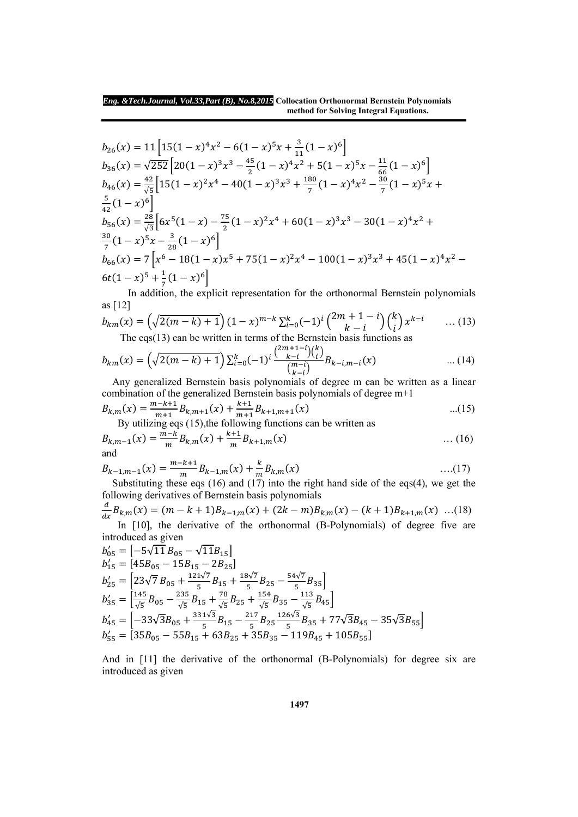$$
b_{26}(x) = 11\left[15(1-x)^4x^2 - 6(1-x)^5x + \frac{3}{11}(1-x)^6\right]
$$
  
\n
$$
b_{36}(x) = \sqrt{252}\left[20(1-x)^3x^3 - \frac{45}{2}(1-x)^4x^2 + 5(1-x)^5x - \frac{11}{66}(1-x)^6\right]
$$
  
\n
$$
b_{46}(x) = \frac{42}{\sqrt{5}}\left[15(1-x)^2x^4 - 40(1-x)^3x^3 + \frac{180}{7}(1-x)^4x^2 - \frac{30}{7}(1-x)^5x + \frac{5}{42}(1-x)^6\right]
$$
  
\n
$$
b_{56}(x) = \frac{28}{\sqrt{3}}\left[6x^5(1-x) - \frac{75}{2}(1-x)^2x^4 + 60(1-x)^3x^3 - 30(1-x)^4x^2 + \frac{30}{7}(1-x)^5x - \frac{3}{28}(1-x)^6\right]
$$
  
\n
$$
b_{66}(x) = 7\left[x^6 - 18(1-x)x^5 + 75(1-x)^2x^4 - 100(1-x)^3x^3 + 45(1-x)^4x^2 - 6t(1-x)^5 + \frac{1}{7}(1-x)^6\right]
$$

 In addition, the explicit representation for the orthonormal Bernstein polynomials as [12]

$$
b_{km}(x) = \left(\sqrt{2(m-k)+1}\right)(1-x)^{m-k} \sum_{i=0}^{k} (-1)^{i} {2m+1-i \choose k-i} {k \choose i} x^{k-i} \dots (13)
$$
  
The eqs(13) can be written in terms of the Bernstein basis functions as

The eqs(13) can be written in terms of the Bernstein basis functions as

$$
b_{km}(x) = \left(\sqrt{2(m-k)+1}\right) \sum_{i=0}^{k} (-1)^i \frac{\binom{2m+1-i}{k-i} \binom{k}{i}}{\binom{m-i}{k-i}} B_{k-i,m-i}(x) \quad \dots (14)
$$

 Any generalized Bernstein basis polynomials of degree m can be written as a linear combination of the generalized Bernstein basis polynomials of degree m+1

$$
B_{k,m}(x) = \frac{m-k+1}{m+1} B_{k,m+1}(x) + \frac{k+1}{m+1} B_{k+1,m+1}(x)
$$
...(15)  
By utilizing eqs (15) the following functions can be written as

By utilizing eqs (15),the following functions can be written as

$$
B_{k,m-1}(x) = \frac{m-k}{m} B_{k,m}(x) + \frac{k+1}{m} B_{k+1,m}(x)
$$
 ... (16)  
and

$$
B_{k-1,m-1}(x) = \frac{m-k+1}{m} B_{k-1,m}(x) + \frac{k}{m} B_{k,m}(x)
$$
...(17)  
Substituting these eqs (16) and (17) into the right hand side of the eqs(4), we get the

following derivatives of Bernstein basis polynomials

 $\boldsymbol{d}$  $\frac{a}{dx}B_{k,m}(x) = (m-k+1)B_{k-1,m}(x) + (2k-m)B_{k,m}(x) - (k+1)B_{k+1,m}(x)$  ...(18) In [10], the derivative of the orthonormal (B-Polynomials) of degree five are introduced as given

$$
b'_{05} = [-5\sqrt{11} B_{05} - \sqrt{11} B_{15}]
$$
  
\n
$$
b'_{15} = [45B_{05} - 15B_{15} - 2B_{25}]
$$
  
\n
$$
b'_{25} = [23\sqrt{7} B_{05} + \frac{121\sqrt{7}}{5} B_{15} + \frac{18\sqrt{7}}{5} B_{25} - \frac{54\sqrt{7}}{5} B_{35}]
$$
  
\n
$$
b'_{35} = \left[\frac{145}{\sqrt{5}} B_{05} - \frac{235}{\sqrt{5}} B_{15} + \frac{78}{\sqrt{5}} B_{25} + \frac{154}{\sqrt{5}} B_{35} - \frac{113}{\sqrt{5}} B_{45}\right]
$$
  
\n
$$
b'_{45} = [-33\sqrt{3}B_{05} + \frac{331\sqrt{3}}{5} B_{15} - \frac{217}{5} B_{25} \frac{126\sqrt{3}}{5} B_{35} + 77\sqrt{3}B_{45} - 35\sqrt{3}B_{55}]
$$
  
\n
$$
b'_{55} = [35B_{05} - 55B_{15} + 63B_{25} + 35B_{35} - 119B_{45} + 105B_{55}]
$$

And in [11] the derivative of the orthonormal (B-Polynomials) for degree six are introduced as given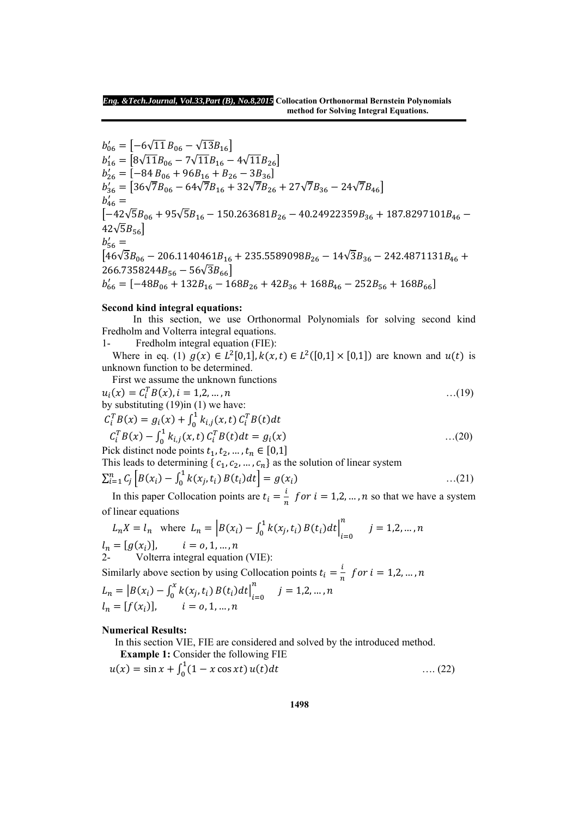$b'_{06} = \left[ -6\sqrt{11} B_{06} - \sqrt{13} B_{16} \right]$  $b'_{16} = \left[ 8\sqrt{11}B_{06} - 7\sqrt{11}B_{16} - 4\sqrt{11}B_{26} \right]$  $b'_{26} = \overline{[-84 B_{06} + 96 B_{16} + B_{26} - 3 B_{36}]}$  $b'_{36} = [36\sqrt{7}B_{06} - 64\sqrt{7}B_{16} + 32\sqrt{7}B_{26} + 27\sqrt{7}B_{36} - 24\sqrt{7}B_{46}]$  $b'_{46} =$  $\left[-42\sqrt{5}B_{06} + 95\sqrt{5}B_{16} - 150.263681B_{26} - 40.24922359B_{36} + 187.8297101B_{46} - 150.263681B_{46} - 10.24922359B_{46} - 1.0029710B_{46} - 1.0029710B_{46} - 1.0029710B_{46} - 1.0029710B_{46} - 1.0029710B_{46} - 1.0029710B_{46} - 1.002$  $42\sqrt{5}B_{56}$  $b_{56}' =$  $\frac{1}{46\sqrt{3}B_{06} - 206.1140461B_{16} + 235.5589098B_{26} - 14\sqrt{3}B_{36} - 242.4871131B_{46} +$  $266.7358244B_{56} - 56\sqrt{3}B_{66}$  $b'_{66} = [-48B_{06} + 132B_{16} - 168B_{26} + 42B_{36} + 168B_{46} - 252B_{56} + 168B_{66}]$ 

#### **Second kind integral equations:**

 In this section, we use Orthonormal Polynomials for solving second kind Fredholm and Volterra integral equations.

1- Fredholm integral equation (FIE):

Where in eq. (1)  $g(x) \in L^2[0,1], k(x,t) \in L^2([0,1] \times [0,1])$  are known and  $u(t)$  is unknown function to be determined.

First we assume the unknown functions<br> $\begin{pmatrix} \omega & c \ \omega & c \end{pmatrix}$  =  $\begin{pmatrix} c & d \ \omega & 1 \end{pmatrix}$  =  $\begin{pmatrix} a & b \ c & d \end{pmatrix}$ 

$$
u_i(x) = C_i^T B(x), i = 1,2,...,n
$$
  
by substituting (19)in (1) we have:  

$$
C_i^T B(x) = g_i(x) + \int_0^1 k_{i,j}(x, t) C_i^T B(t) dt
$$

$$
C_i^T B(x) - \int_0^1 k_{i,j}(x, t) C_i^T B(t) dt = g_i(x)
$$
...(20)

Pick distinct node points  $t_1, t_2, ..., t_n \in [0,1]$ This leads to determining  $\{c_1, c_2, ..., c_n\}$  as the solution of linear system

$$
\sum_{i=1}^{n} C_j \left[ B(x_i) - \int_0^1 k(x_j, t_i) B(t_i) dt \right] = g(x_i)
$$
...(21)

In this paper Collocation points are  $t_i = \frac{i}{n}$  for  $i = 1, 2, ..., n$  so that we have a system of linear equations

$$
L_n X = l_n \text{ where } L_n = \left| B(x_i) - \int_0^1 k(x_j, t_i) B(t_i) dt \right|_{i=0}^n j = 1, 2, ..., n
$$
  
\n
$$
l_n = [g(x_i)], \qquad i = 0, 1, ..., n
$$
  
\n
$$
l_2.
$$
 Volterra integral equation (VIE):

Similarly above section by using Collocation points  $t_i = \frac{i}{n}$  for  $i = 1, 2, ..., n$  $L_n = |B(x_i) - \int_0^x k(x_j, t_i) B(t_i) dt|_{i=0}^n$  $\sum_{i=1}^{n} j = 1,2,...,n$  $l_n = [f(x_i)]$ ,  $i = 0, 1, ..., n$ 

#### **Numerical Results:**

In this section VIE, FIE are considered and solved by the introduced method.

 **Example 1:** Consider the following FIE

$$
u(x) = \sin x + \int_0^1 (1 - x \cos x t) u(t) dt \qquad \qquad \dots (22)
$$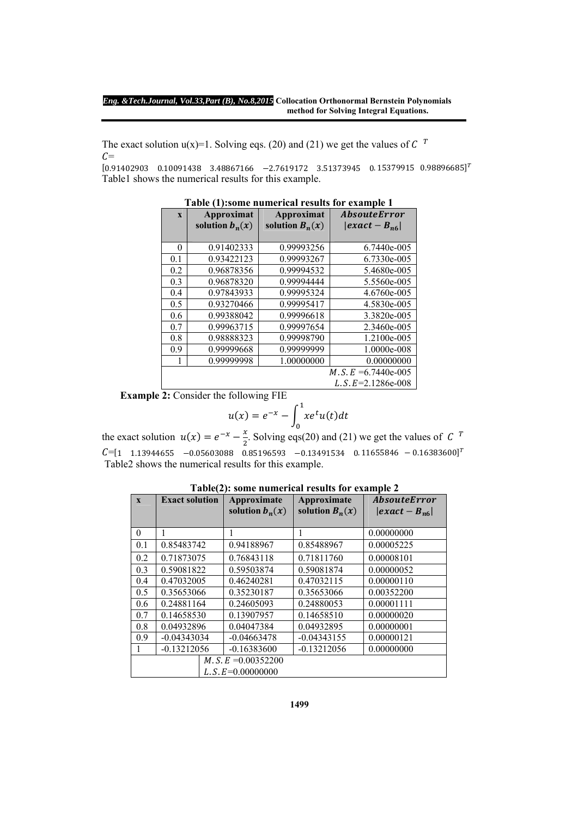The exact solution  $u(x)=1$ . Solving eqs. (20) and (21) we get the values of C <sup>T</sup>  $C=$ 

 $[0.91402903 \quad 0.10091438 \quad 3.48867166 \quad -2.7619172 \quad 3.51373945 \quad 0.15379915 \quad 0.98896685]^{T}$ Table1 shows the numerical results for this example.

| Table (17.50me numerical results for example 1 |                   |                   |                            |  |  |
|------------------------------------------------|-------------------|-------------------|----------------------------|--|--|
| $\mathbf{X}$                                   | Approximat        | Approximat        | <i><b>AbsouteError</b></i> |  |  |
|                                                | solution $b_n(x)$ | solution $B_n(x)$ | $ exact - B_{n6} $         |  |  |
|                                                |                   |                   |                            |  |  |
| $\theta$                                       | 0.91402333        | 0.99993256        | 6.7440e-005                |  |  |
| 0.1                                            | 0.93422123        | 0.99993267        | 6.7330e-005                |  |  |
| 0.2                                            | 0.96878356        | 0.99994532        | 5.4680e-005                |  |  |
| 0.3                                            | 0.96878320        | 0.99994444        | 5.5560e-005                |  |  |
| 0.4                                            | 0.97843933        | 0.99995324        | 4.6760e-005                |  |  |
| 0.5                                            | 0.93270466        | 0.99995417        | 4.5830e-005                |  |  |
| 0.6                                            | 0.99388042        | 0.99996618        | 3.3820e-005                |  |  |
| 0.7                                            | 0.99963715        | 0.99997654        | 2.3460e-005                |  |  |
| 0.8                                            | 0.98888323        | 0.99998790        | 1.2100e-005                |  |  |
| 0.9                                            | 0.99999668        | 0.99999999        | 1.0000e-008                |  |  |
|                                                | 0.99999998        | 1.00000000        | 0.00000000                 |  |  |
|                                                |                   |                   | $M.S. E = 6.7440e-005$     |  |  |
|                                                |                   |                   | L. S. $E=2.1286e-008$      |  |  |

|  |  | Table (1):some numerical results for example 1 |  |  |  |  |
|--|--|------------------------------------------------|--|--|--|--|
|--|--|------------------------------------------------|--|--|--|--|

**Example 2:** Consider the following FIE

$$
u(x) = e^{-x} - \int_0^1 xe^t u(t) dt
$$

the exact solution  $u(x) = e^{-x} - \frac{x}{2}$ . Solving eqs(20) and (21) we get the values of C<sup>T</sup>  $C=[1 \quad 1.13944655 \quad -0.05603088 \quad 0.85196593 \quad -0.13491534 \quad 0.11655846 \quad -0.16383600]^T$ Table2 shows the numerical results for this example.

| $\mathbf{x}$ | <b>Exact solution</b> | Approximate<br>solution $b_n(x)$ | Approximate<br>solution $B_n(x)$ | <b>AbsouteError</b><br>$\left  exact-B_{n6}\right $ |  |
|--------------|-----------------------|----------------------------------|----------------------------------|-----------------------------------------------------|--|
|              |                       |                                  |                                  |                                                     |  |
| $\theta$     | 1                     | 1                                | 1                                | 0.00000000                                          |  |
| 0.1          | 0.85483742            | 0.94188967                       | 0.85488967                       | 0.00005225                                          |  |
| 0.2          | 0.71873075            | 0.76843118                       | 0.71811760                       | 0.00008101                                          |  |
| 0.3          | 0.59081822            | 0.59503874                       | 0.59081874                       | 0.00000052                                          |  |
| 0.4          | 0.47032005            | 0.46240281                       | 0.47032115                       | 0.00000110                                          |  |
| 0.5          | 0.35653066            | 0.35230187                       | 0.35653066                       | 0.00352200                                          |  |
| 0.6          | 0.24881164            | 0.24605093                       | 0.24880053                       | 0.00001111                                          |  |
| 0.7          | 0.14658530            | 0.13907957                       | 0.14658510                       | 0.00000020                                          |  |
| 0.8          | 0.04932896            | 0.04047384                       | 0.04932895                       | 0.00000001                                          |  |
| 0.9          | $-0.04343034$         | $-0.04663478$                    | $-0.04343155$                    | 0.00000121                                          |  |
|              | $-0.13212056$         | $-0.16383600$                    | $-0.13212056$                    | 0.00000000                                          |  |
|              | $M.S.E = 0.00352200$  |                                  |                                  |                                                     |  |
|              | L. S. $E=0.00000000$  |                                  |                                  |                                                     |  |

**Table(2): some numerical results for example 2**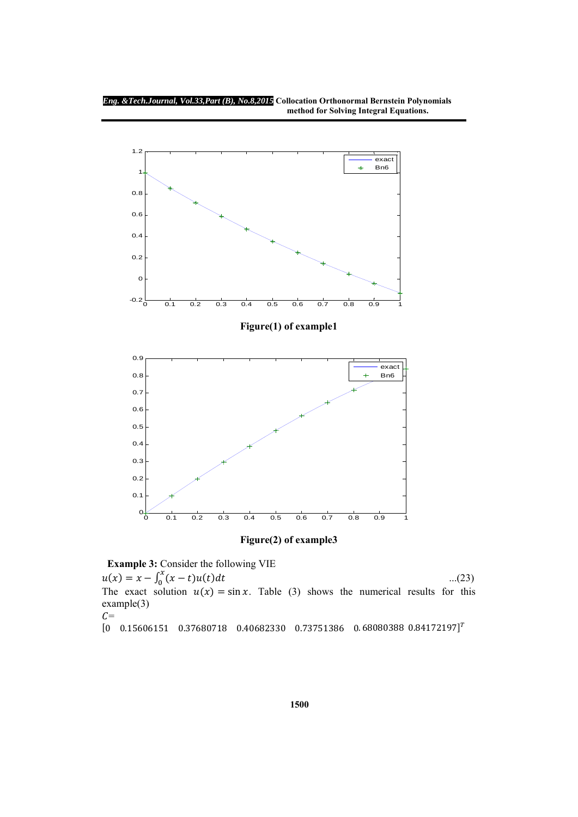

**Figure(2) of example3** 

 **Example 3:** Consider the following VIE

 $u(x) = x - \int_0^x (x - t)u(t)dt$  ...(23)

The exact solution  $u(x) = \sin x$ . Table (3) shows the numerical results for this example(3)  $C=$ 

 $[0$  0.15606151 0.37680718 0.40682330 0.73751386 0.68080388 0.84172197]<sup>T</sup>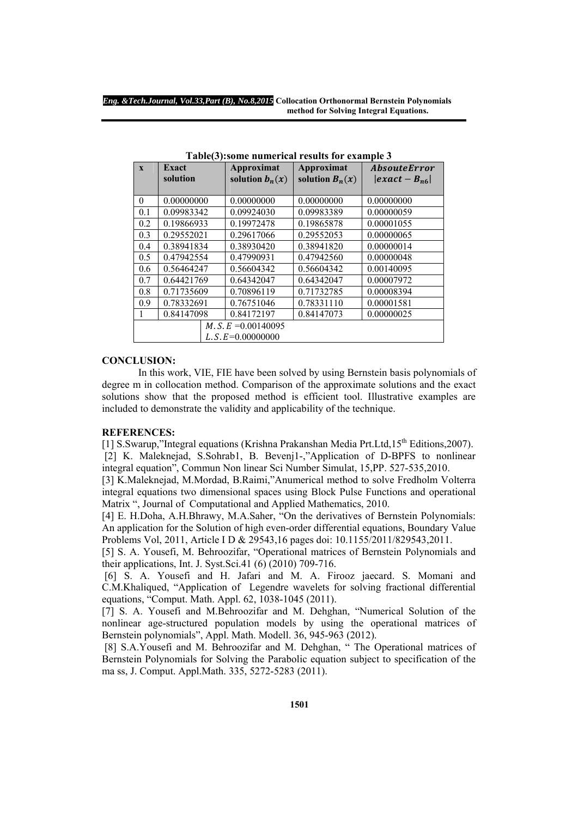| $\mathbf{x}$ | Exact<br>solution | Approximat<br>solution $b_n(x)$ | Approximat<br>solution $B_n(x)$ | <i><b>AbsouteError</b></i><br>$\left  exact-B_{n6}\right $ |
|--------------|-------------------|---------------------------------|---------------------------------|------------------------------------------------------------|
|              |                   |                                 |                                 |                                                            |
| $\theta$     | 0.00000000        | 0.00000000                      | 0.00000000                      | 0.00000000                                                 |
| 0.1          | 0.09983342        | 0.09924030                      | 0.09983389                      | 0.00000059                                                 |
| 0.2          | 0.19866933        | 0.19972478                      | 0.19865878                      | 0.00001055                                                 |
| 0.3          | 0.29552021        | 0.29617066                      | 0.29552053                      | 0.00000065                                                 |
| 0.4          | 0.38941834        | 0.38930420                      | 0.38941820                      | 0.00000014                                                 |
| 0.5          | 0.47942554        | 0.47990931                      | 0.47942560                      | 0.00000048                                                 |
| 0.6          | 0.56464247        | 0.56604342                      | 0.56604342                      | 0.00140095                                                 |
| 0.7          | 0.64421769        | 0.64342047                      | 0.64342047                      | 0.00007972                                                 |
| 0.8          | 0.71735609        | 0.70896119                      | 0.71732785                      | 0.00008394                                                 |
| 0.9          | 0.78332691        | 0.76751046                      | 0.78331110                      | 0.00001581                                                 |
| 1            | 0.84147098        | 0.84172197                      | 0.84147073                      | 0.00000025                                                 |
|              |                   | $M.S.E = 0.00140095$            |                                 |                                                            |
|              |                   | $L.S. E=0.00000000$             |                                 |                                                            |

**Table(3):some numerical results for example 3** 

# **CONCLUSION:**

 In this work, VIE, FIE have been solved by using Bernstein basis polynomials of degree m in collocation method. Comparison of the approximate solutions and the exact solutions show that the proposed method is efficient tool. Illustrative examples are included to demonstrate the validity and applicability of the technique.

#### **REFERENCES:**

[1] S.Swarup,"Integral equations (Krishna Prakanshan Media Prt.Ltd,  $15^{th}$  Editions, 2007). [2] K. Maleknejad, S.Sohrab1, B. Bevenj1-,"Application of D-BPFS to nonlinear integral equation", Commun Non linear Sci Number Simulat, 15,PP. 527-535,2010.

[3] K.Maleknejad, M.Mordad, B.Raimi,"Anumerical method to solve Fredholm Volterra integral equations two dimensional spaces using Block Pulse Functions and operational Matrix ", Journal of Computational and Applied Mathematics, 2010.

[4] E. H.Doha, A.H.Bhrawy, M.A.Saher, "On the derivatives of Bernstein Polynomials: An application for the Solution of high even-order differential equations, Boundary Value Problems Vol, 2011, Article I D & 29543,16 pages doi: 10.1155/2011/829543,2011.

[5] S. A. Yousefi, M. Behroozifar, "Operational matrices of Bernstein Polynomials and their applications, Int. J. Syst.Sci.41 (6) (2010) 709-716.

 [6] S. A. Yousefi and H. Jafari and M. A. Firooz jaecard. S. Momani and C.M.Khaliqued, "Application of Legendre wavelets for solving fractional differential equations, "Comput. Math. Appl. 62, 1038-1045 (2011).

[7] S. A. Yousefi and M.Behroozifar and M. Dehghan, "Numerical Solution of the nonlinear age-structured population models by using the operational matrices of Bernstein polynomials", Appl. Math. Modell. 36, 945-963 (2012).

 [8] S.A.Yousefi and M. Behroozifar and M. Dehghan, " The Operational matrices of Bernstein Polynomials for Solving the Parabolic equation subject to specification of the ma ss, J. Comput. Appl.Math. 335, 5272-5283 (2011).